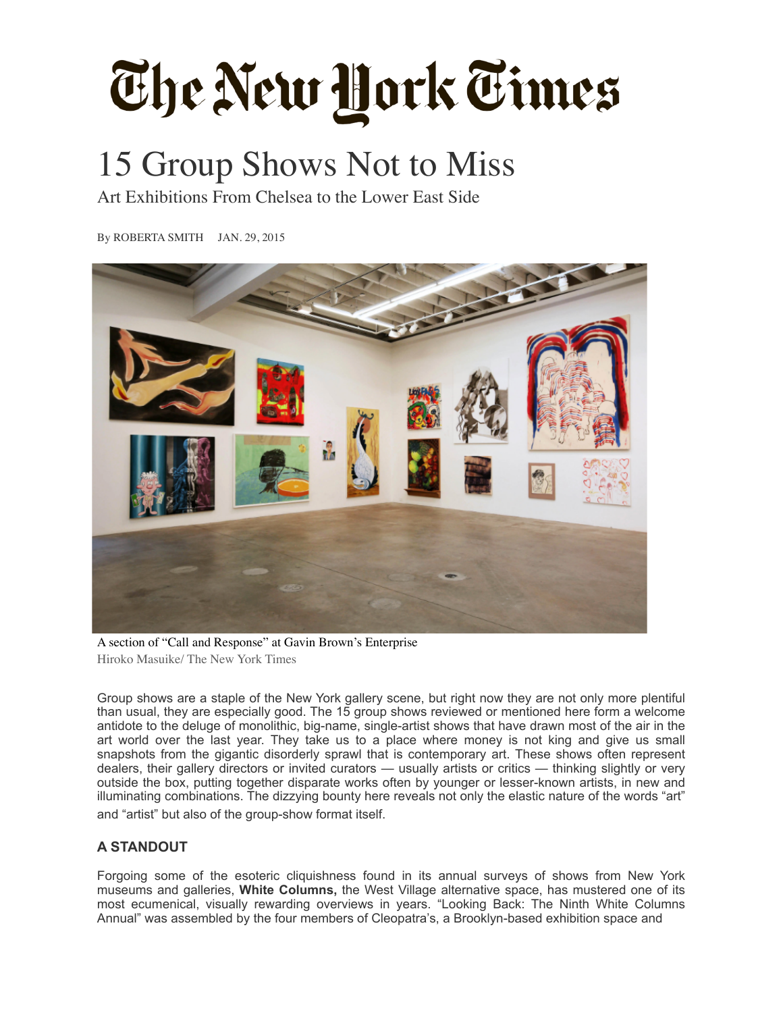# The New York Times

# 15 Group Shows Not to Miss

Art Exhibitions From Chelsea to the Lower East Side

By [ROBERTA SMITH](http://topics.nytimes.com/top/reference/timestopics/people/s/roberta_smith/index.html) JAN. 29, 2015



A section of "Call and Response" at Gavin Brown's Enterprise Hiroko Masuike/ The New York Times

Group shows are a staple of the New York gallery scene, but right now they are not only more plentiful than usual, they are especially good. The 15 group shows reviewed or mentioned here form a welcome antidote to the deluge of monolithic, big-name, single-artist shows that have drawn most of the air in the art world over the last year. They take us to a place where money is not king and give us small snapshots from the gigantic disorderly sprawl that is contemporary art. These shows often represent dealers, their gallery directors or invited curators — usually artists or critics — thinking slightly or very outside the box, putting together disparate works often by younger or lesser-known artists, in new and illuminating combinations. The dizzying bounty here reveals not only the elastic nature of the words "art" and "artist" but also of the group-show format itself.

## **A STANDOUT**

Forgoing some of the esoteric cliquishness found in its annual surveys of shows from New York museums and galleries, **White Columns,** the West Village alternative space, has mustered one of its most ecumenical, visually rewarding overviews in years. "Looking Back: The Ninth White Columns Annual" was assembled by the four members of Cleopatra's, a Brooklyn-based exhibition space and